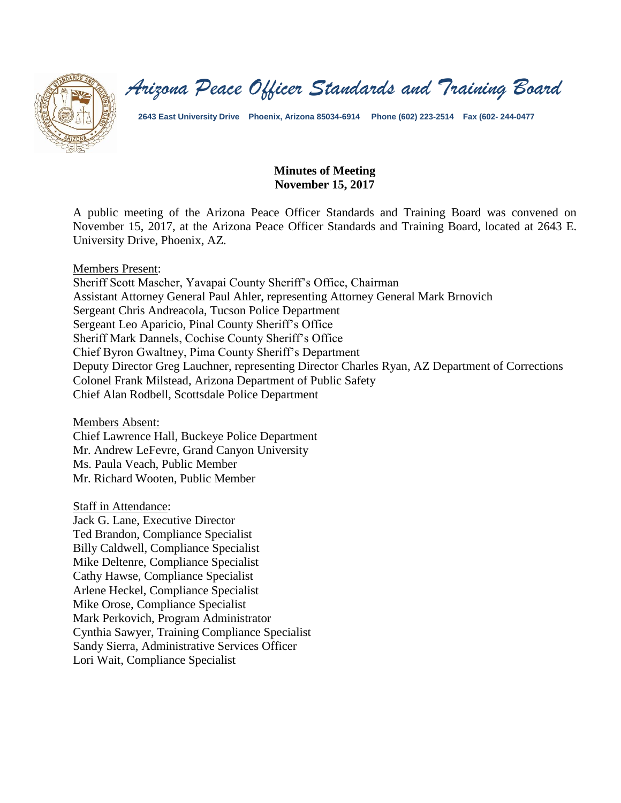

*Arizona Peace Officer Standards and Training Board*

**2643 East University Drive Phoenix, Arizona 85034-6914 Phone (602) 223-2514 Fax (602- 244-0477**

### **Minutes of Meeting November 15, 2017**

A public meeting of the Arizona Peace Officer Standards and Training Board was convened on November 15, 2017, at the Arizona Peace Officer Standards and Training Board, located at 2643 E. University Drive, Phoenix, AZ.

#### Members Present:

Sheriff Scott Mascher, Yavapai County Sheriff's Office, Chairman Assistant Attorney General Paul Ahler, representing Attorney General Mark Brnovich Sergeant Chris Andreacola, Tucson Police Department Sergeant Leo Aparicio, Pinal County Sheriff's Office Sheriff Mark Dannels, Cochise County Sheriff's Office Chief Byron Gwaltney, Pima County Sheriff's Department Deputy Director Greg Lauchner, representing Director Charles Ryan, AZ Department of Corrections Colonel Frank Milstead, Arizona Department of Public Safety Chief Alan Rodbell, Scottsdale Police Department

Members Absent:

Chief Lawrence Hall, Buckeye Police Department Mr. Andrew LeFevre, Grand Canyon University Ms. Paula Veach, Public Member Mr. Richard Wooten, Public Member

Staff in Attendance:

Jack G. Lane, Executive Director Ted Brandon, Compliance Specialist Billy Caldwell, Compliance Specialist Mike Deltenre, Compliance Specialist Cathy Hawse, Compliance Specialist Arlene Heckel, Compliance Specialist Mike Orose, Compliance Specialist Mark Perkovich, Program Administrator Cynthia Sawyer, Training Compliance Specialist Sandy Sierra, Administrative Services Officer Lori Wait, Compliance Specialist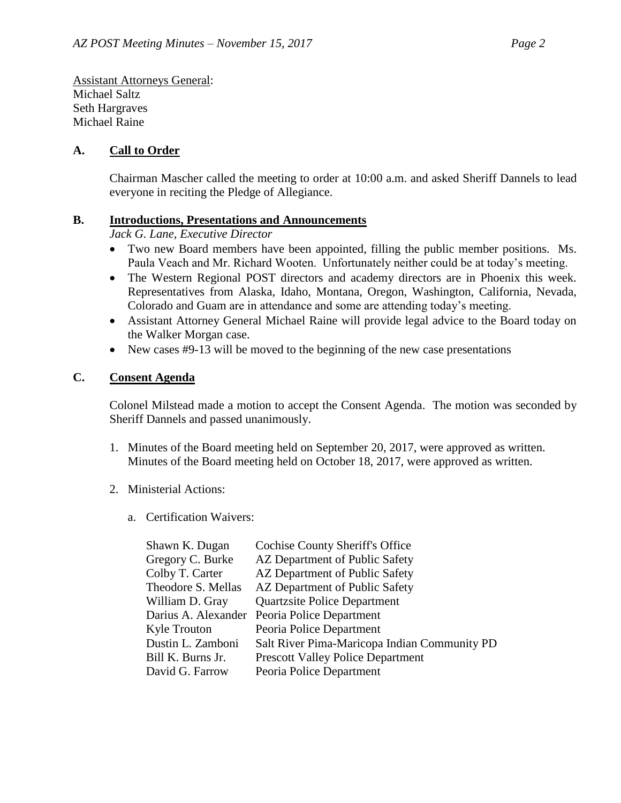Assistant Attorneys General: Michael Saltz Seth Hargraves Michael Raine

#### **A. Call to Order**

Chairman Mascher called the meeting to order at 10:00 a.m. and asked Sheriff Dannels to lead everyone in reciting the Pledge of Allegiance.

#### **B. Introductions, Presentations and Announcements**

*Jack G. Lane, Executive Director*

- Two new Board members have been appointed, filling the public member positions. Ms. Paula Veach and Mr. Richard Wooten. Unfortunately neither could be at today's meeting.
- The Western Regional POST directors and academy directors are in Phoenix this week. Representatives from Alaska, Idaho, Montana, Oregon, Washington, California, Nevada, Colorado and Guam are in attendance and some are attending today's meeting.
- Assistant Attorney General Michael Raine will provide legal advice to the Board today on the Walker Morgan case.
- New cases #9-13 will be moved to the beginning of the new case presentations

#### **C. Consent Agenda**

Colonel Milstead made a motion to accept the Consent Agenda. The motion was seconded by Sheriff Dannels and passed unanimously.

- 1. Minutes of the Board meeting held on September 20, 2017, were approved as written. Minutes of the Board meeting held on October 18, 2017, were approved as written.
- 2. Ministerial Actions:
	- a. Certification Waivers:

| Shawn K. Dugan      | <b>Cochise County Sheriff's Office</b>       |
|---------------------|----------------------------------------------|
| Gregory C. Burke    | AZ Department of Public Safety               |
| Colby T. Carter     | AZ Department of Public Safety               |
| Theodore S. Mellas  | AZ Department of Public Safety               |
| William D. Gray     | <b>Quartzsite Police Department</b>          |
| Darius A. Alexander | Peoria Police Department                     |
| <b>Kyle Trouton</b> | Peoria Police Department                     |
| Dustin L. Zamboni   | Salt River Pima-Maricopa Indian Community PD |
| Bill K. Burns Jr.   | <b>Prescott Valley Police Department</b>     |
| David G. Farrow     | Peoria Police Department                     |
|                     |                                              |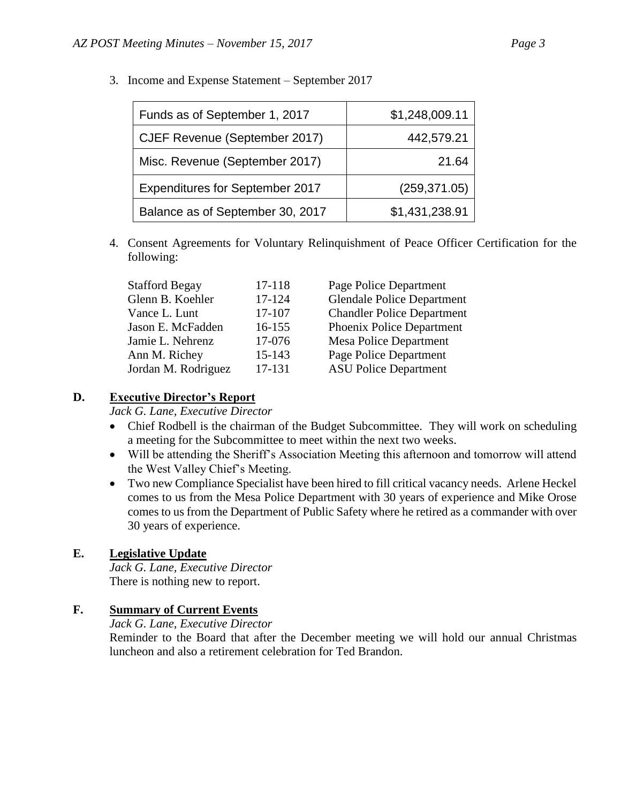| Funds as of September 1, 2017    | \$1,248,009.11 |
|----------------------------------|----------------|
| CJEF Revenue (September 2017)    | 442,579.21     |
| Misc. Revenue (September 2017)   | 21.64          |
| Expenditures for September 2017  | (259, 371.05)  |
| Balance as of September 30, 2017 | \$1,431,238.91 |

3. Income and Expense Statement – September 2017

4. Consent Agreements for Voluntary Relinquishment of Peace Officer Certification for the following:

| <b>Stafford Begay</b> | 17-118 | Page Police Department            |
|-----------------------|--------|-----------------------------------|
| Glenn B. Koehler      | 17-124 | <b>Glendale Police Department</b> |
| Vance L. Lunt         | 17-107 | <b>Chandler Police Department</b> |
| Jason E. McFadden     | 16-155 | Phoenix Police Department         |
| Jamie L. Nehrenz      | 17-076 | <b>Mesa Police Department</b>     |
| Ann M. Richey         | 15-143 | Page Police Department            |
| Jordan M. Rodriguez   | 17-131 | <b>ASU Police Department</b>      |

### **D. Executive Director's Report**

*Jack G. Lane, Executive Director*

- Chief Rodbell is the chairman of the Budget Subcommittee. They will work on scheduling a meeting for the Subcommittee to meet within the next two weeks.
- Will be attending the Sheriff's Association Meeting this afternoon and tomorrow will attend the West Valley Chief's Meeting.
- Two new Compliance Specialist have been hired to fill critical vacancy needs. Arlene Heckel comes to us from the Mesa Police Department with 30 years of experience and Mike Orose comes to us from the Department of Public Safety where he retired as a commander with over 30 years of experience.

# **E. Legislative Update**

*Jack G. Lane, Executive Director* There is nothing new to report.

# **F. Summary of Current Events**

#### *Jack G. Lane, Executive Director*

Reminder to the Board that after the December meeting we will hold our annual Christmas luncheon and also a retirement celebration for Ted Brandon.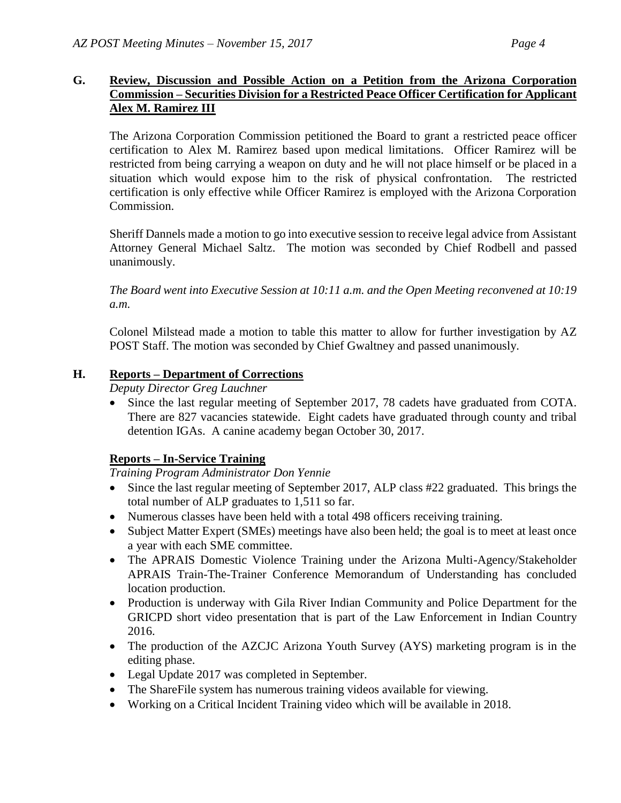# **G. Review, Discussion and Possible Action on a Petition from the Arizona Corporation Commission – Securities Division for a Restricted Peace Officer Certification for Applicant Alex M. Ramirez III**

The Arizona Corporation Commission petitioned the Board to grant a restricted peace officer certification to Alex M. Ramirez based upon medical limitations. Officer Ramirez will be restricted from being carrying a weapon on duty and he will not place himself or be placed in a situation which would expose him to the risk of physical confrontation. The restricted certification is only effective while Officer Ramirez is employed with the Arizona Corporation Commission.

Sheriff Dannels made a motion to go into executive session to receive legal advice from Assistant Attorney General Michael Saltz. The motion was seconded by Chief Rodbell and passed unanimously.

*The Board went into Executive Session at 10:11 a.m. and the Open Meeting reconvened at 10:19 a.m.*

Colonel Milstead made a motion to table this matter to allow for further investigation by AZ POST Staff. The motion was seconded by Chief Gwaltney and passed unanimously.

# **H. Reports – Department of Corrections**

*Deputy Director Greg Lauchner*

• Since the last regular meeting of September 2017, 78 cadets have graduated from COTA. There are 827 vacancies statewide. Eight cadets have graduated through county and tribal detention IGAs. A canine academy began October 30, 2017.

# **Reports – In-Service Training**

#### *Training Program Administrator Don Yennie*

- Since the last regular meeting of September 2017, ALP class #22 graduated. This brings the total number of ALP graduates to 1,511 so far.
- Numerous classes have been held with a total 498 officers receiving training.
- Subject Matter Expert (SMEs) meetings have also been held; the goal is to meet at least once a year with each SME committee.
- The APRAIS Domestic Violence Training under the Arizona Multi-Agency/Stakeholder APRAIS Train-The-Trainer Conference Memorandum of Understanding has concluded location production.
- Production is underway with Gila River Indian Community and Police Department for the GRICPD short video presentation that is part of the Law Enforcement in Indian Country 2016.
- The production of the AZCJC Arizona Youth Survey (AYS) marketing program is in the editing phase.
- Legal Update 2017 was completed in September.
- The ShareFile system has numerous training videos available for viewing.
- Working on a Critical Incident Training video which will be available in 2018.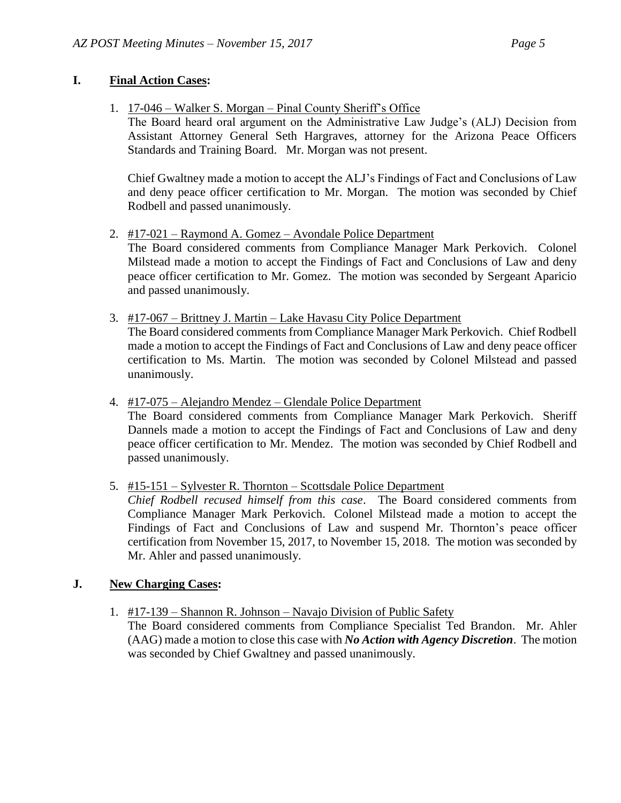### **I. Final Action Cases:**

- 1. 17-046 Walker S. Morgan Pinal County Sheriff's Office
	- The Board heard oral argument on the Administrative Law Judge's (ALJ) Decision from Assistant Attorney General Seth Hargraves, attorney for the Arizona Peace Officers Standards and Training Board. Mr. Morgan was not present.

Chief Gwaltney made a motion to accept the ALJ's Findings of Fact and Conclusions of Law and deny peace officer certification to Mr. Morgan. The motion was seconded by Chief Rodbell and passed unanimously.

2. #17-021 – Raymond A. Gomez – Avondale Police Department

The Board considered comments from Compliance Manager Mark Perkovich. Colonel Milstead made a motion to accept the Findings of Fact and Conclusions of Law and deny peace officer certification to Mr. Gomez. The motion was seconded by Sergeant Aparicio and passed unanimously.

3. #17-067 – Brittney J. Martin – Lake Havasu City Police Department

The Board considered comments from Compliance Manager Mark Perkovich. Chief Rodbell made a motion to accept the Findings of Fact and Conclusions of Law and deny peace officer certification to Ms. Martin. The motion was seconded by Colonel Milstead and passed unanimously.

4. #17-075 – Alejandro Mendez – Glendale Police Department

The Board considered comments from Compliance Manager Mark Perkovich. Sheriff Dannels made a motion to accept the Findings of Fact and Conclusions of Law and deny peace officer certification to Mr. Mendez. The motion was seconded by Chief Rodbell and passed unanimously.

5. #15-151 – Sylvester R. Thornton – Scottsdale Police Department

*Chief Rodbell recused himself from this case*. The Board considered comments from Compliance Manager Mark Perkovich. Colonel Milstead made a motion to accept the Findings of Fact and Conclusions of Law and suspend Mr. Thornton's peace officer certification from November 15, 2017, to November 15, 2018. The motion was seconded by Mr. Ahler and passed unanimously.

# **J. New Charging Cases:**

1. #17-139 – Shannon R. Johnson – Navajo Division of Public Safety

The Board considered comments from Compliance Specialist Ted Brandon. Mr. Ahler (AAG) made a motion to close this case with *No Action with Agency Discretion*. The motion was seconded by Chief Gwaltney and passed unanimously.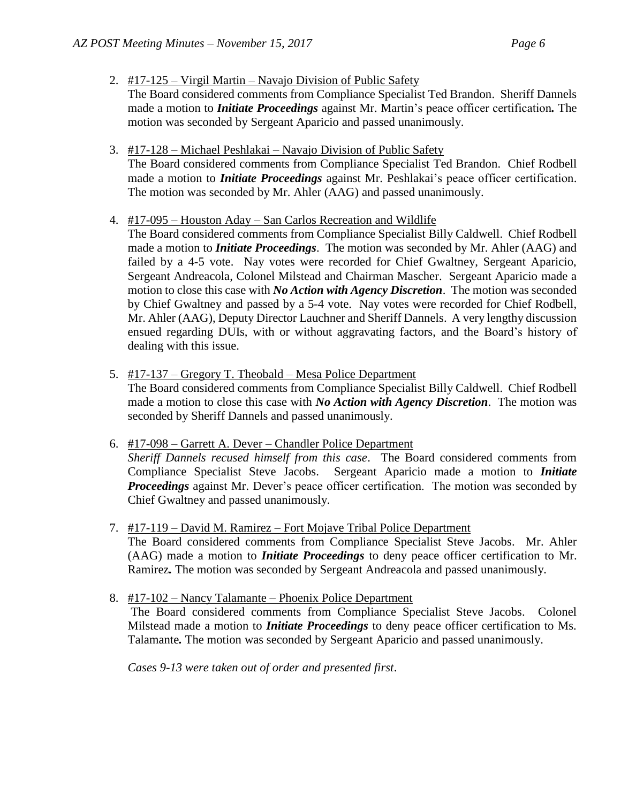2. #17-125 – Virgil Martin – Navajo Division of Public Safety

The Board considered comments from Compliance Specialist Ted Brandon. Sheriff Dannels made a motion to *Initiate Proceedings* against Mr. Martin's peace officer certification*.* The motion was seconded by Sergeant Aparicio and passed unanimously.

3. #17-128 – Michael Peshlakai – Navajo Division of Public Safety

The Board considered comments from Compliance Specialist Ted Brandon. Chief Rodbell made a motion to *Initiate Proceedings* against Mr. Peshlakai's peace officer certification. The motion was seconded by Mr. Ahler (AAG) and passed unanimously.

#### 4. #17-095 – Houston Aday – San Carlos Recreation and Wildlife

The Board considered comments from Compliance Specialist Billy Caldwell. Chief Rodbell made a motion to *Initiate Proceedings*. The motion was seconded by Mr. Ahler (AAG) and failed by a 4-5 vote. Nay votes were recorded for Chief Gwaltney, Sergeant Aparicio, Sergeant Andreacola, Colonel Milstead and Chairman Mascher. Sergeant Aparicio made a motion to close this case with *No Action with Agency Discretion*. The motion was seconded by Chief Gwaltney and passed by a 5-4 vote. Nay votes were recorded for Chief Rodbell, Mr. Ahler (AAG), Deputy Director Lauchner and Sheriff Dannels. A very lengthy discussion ensued regarding DUIs, with or without aggravating factors, and the Board's history of dealing with this issue.

5. #17-137 – Gregory T. Theobald – Mesa Police Department

The Board considered comments from Compliance Specialist Billy Caldwell. Chief Rodbell made a motion to close this case with *No Action with Agency Discretion*. The motion was seconded by Sheriff Dannels and passed unanimously.

6. #17-098 – Garrett A. Dever – Chandler Police Department

*Sheriff Dannels recused himself from this case*. The Board considered comments from Compliance Specialist Steve Jacobs. Sergeant Aparicio made a motion to *Initiate Proceedings* against Mr. Dever's peace officer certification. The motion was seconded by Chief Gwaltney and passed unanimously.

7. #17-119 – David M. Ramirez – Fort Mojave Tribal Police Department

The Board considered comments from Compliance Specialist Steve Jacobs. Mr. Ahler (AAG) made a motion to *Initiate Proceedings* to deny peace officer certification to Mr. Ramirez*.* The motion was seconded by Sergeant Andreacola and passed unanimously.

8. #17-102 – Nancy Talamante – Phoenix Police Department

The Board considered comments from Compliance Specialist Steve Jacobs. Colonel Milstead made a motion to *Initiate Proceedings* to deny peace officer certification to Ms. Talamante*.* The motion was seconded by Sergeant Aparicio and passed unanimously.

*Cases 9-13 were taken out of order and presented first*.